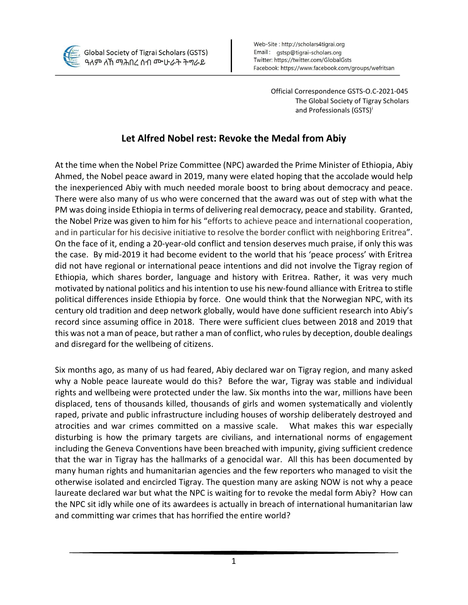

Official Correspondence GSTS-O.C-2021-045 The Global Society of Tigray Scholars and Professionals (GSTS)<sup>i</sup>

## **Let Alfred Nobel rest: Revoke the Medal from Abiy**

At the time when the Nobel Prize Committee (NPC) awarded the Prime Minister of Ethiopia, Abiy Ahmed, the Nobel peace award in 2019, many were elated hoping that the accolade would help the inexperienced Abiy with much needed morale boost to bring about democracy and peace. There were also many of us who were concerned that the award was out of step with what the PM was doing inside Ethiopia in terms of delivering real democracy, peace and stability. Granted, the Nobel Prize was given to him for his "efforts to achieve peace and international cooperation, and in particular for his decisive initiative to resolve the border conflict with neighboring Eritrea". On the face of it, ending a 20-year-old conflict and tension deserves much praise, if only this was the case. By mid-2019 it had become evident to the world that his 'peace process' with Eritrea did not have regional or international peace intentions and did not involve the Tigray region of Ethiopia, which shares border, language and history with Eritrea. Rather, it was very much motivated by national politics and his intention to use his new-found alliance with Eritrea to stifle political differences inside Ethiopia by force. One would think that the Norwegian NPC, with its century old tradition and deep network globally, would have done sufficient research into Abiy's record since assuming office in 2018. There were sufficient clues between 2018 and 2019 that this was not a man of peace, but rather a man of conflict, who rules by deception, double dealings and disregard for the wellbeing of citizens.

Six months ago, as many of us had feared, Abiy declared war on Tigray region, and many asked why a Noble peace laureate would do this? Before the war, Tigray was stable and individual rights and wellbeing were protected under the law. Six months into the war, millions have been displaced, tens of thousands killed, thousands of girls and women systematically and violently raped, private and public infrastructure including houses of worship deliberately destroyed and atrocities and war crimes committed on a massive scale. What makes this war especially disturbing is how the primary targets are civilians, and international norms of engagement including the Geneva Conventions have been breached with impunity, giving sufficient credence that the war in Tigray has the hallmarks of a genocidal war. All this has been documented by many human rights and humanitarian agencies and the few reporters who managed to visit the otherwise isolated and encircled Tigray. The question many are asking NOW is not why a peace laureate declared war but what the NPC is waiting for to revoke the medal form Abiy? How can the NPC sit idly while one of its awardees is actually in breach of international humanitarian law and committing war crimes that has horrified the entire world?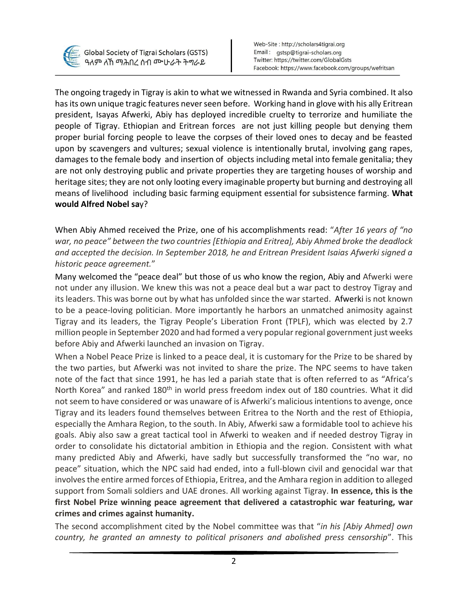

The ongoing tragedy in Tigray is akin to what we witnessed in Rwanda and Syria combined. It also has its own unique tragic features never seen before. Working hand in glove with his ally Eritrean president, Isayas Afwerki, Abiy has deployed incredible cruelty to terrorize and humiliate the people of Tigray. Ethiopian and Eritrean forces are not just killing people but denying them proper burial forcing people to leave the corpses of their loved ones to decay and be feasted upon by scavengers and vultures; sexual violence is intentionally brutal, involving gang rapes, damages to the female body and insertion of objects including metal into female genitalia; they are not only destroying public and private properties they are targeting houses of worship and heritage sites; they are not only looting every imaginable property but burning and destroying all means of livelihood including basic farming equipment essential for subsistence farming. **What would Alfred Nobel sa**y?

When Abiy Ahmed received the Prize, one of his accomplishments read: "*After 16 years of "no war, no peace" between the two countries [Ethiopia and Eritrea], Abiy Ahmed broke the deadlock and accepted the decision. In September 2018, he and Eritrean President Isaias Afwerki signed a historic peace agreement.*"

Many welcomed the "peace deal" but those of us who know the region, Abiy and Afwerki were not under any illusion. We knew this was not a peace deal but a war pact to destroy Tigray and its leaders. This was borne out by what has unfolded since the war started. Afwerki is not known to be a peace-loving politician. More importantly he harbors an unmatched animosity against Tigray and its leaders, the Tigray People's Liberation Front (TPLF), which was elected by 2.7 million people in September 2020 and had formed a very popular regional government just weeks before Abiy and Afwerki launched an invasion on Tigray.

When a Nobel Peace Prize is linked to a peace deal, it is customary for the Prize to be shared by the two parties, but Afwerki was not invited to share the prize. The NPC seems to have taken note of the fact that since 1991, he has led a pariah state that is often referred to as "Africa's North Korea" and ranked 180<sup>th</sup> in world press freedom index out of 180 countries. What it did not seem to have considered or was unaware of is Afwerki's malicious intentions to avenge, once Tigray and its leaders found themselves between Eritrea to the North and the rest of Ethiopia, especially the Amhara Region, to the south. In Abiy, Afwerki saw a formidable tool to achieve his goals. Abiy also saw a great tactical tool in Afwerki to weaken and if needed destroy Tigray in order to consolidate his dictatorial ambition in Ethiopia and the region. Consistent with what many predicted Abiy and Afwerki, have sadly but successfully transformed the "no war, no peace" situation, which the NPC said had ended, into a full-blown civil and genocidal war that involves the entire armed forces of Ethiopia, Eritrea, and the Amhara region in addition to alleged support from Somali soldiers and UAE drones. All working against Tigray. **In essence, this is the first Nobel Prize winning peace agreement that delivered a catastrophic war featuring, war crimes and crimes against humanity.**

The second accomplishment cited by the Nobel committee was that "*in his [Abiy Ahmed] own country, he granted an amnesty to political prisoners and abolished press censorship*". This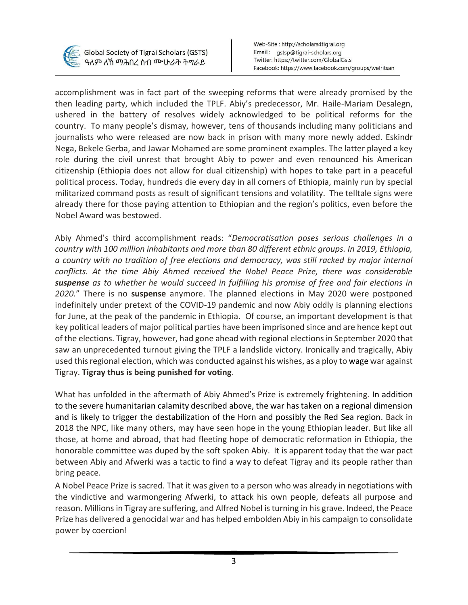

accomplishment was in fact part of the sweeping reforms that were already promised by the then leading party, which included the TPLF. Abiy's predecessor, Mr. Haile-Mariam Desalegn, ushered in the battery of resolves widely acknowledged to be political reforms for the country. To many people's dismay, however, tens of thousands including many politicians and journalists who were released are now back in prison with many more newly added. Eskindr Nega, Bekele Gerba, and Jawar Mohamed are some prominent examples. The latter played a key role during the civil unrest that brought Abiy to power and even renounced his American citizenship (Ethiopia does not allow for dual citizenship) with hopes to take part in a peaceful political process. Today, hundreds die every day in all corners of Ethiopia, mainly run by special militarized command posts as result of significant tensions and volatility. The telltale signs were already there for those paying attention to Ethiopian and the region's politics, even before the Nobel Award was bestowed.

Abiy Ahmed's third accomplishment reads: "*Democratisation poses serious challenges in a country with 100 million inhabitants and more than 80 different ethnic groups. In 2019, Ethiopia, a country with no tradition of free elections and democracy, was still racked by major internal conflicts. At the time Abiy Ahmed received the Nobel Peace Prize, there was considerable suspense as to whether he would succeed in fulfilling his promise of free and fair elections in 2020.*" There is no **suspense** anymore. The planned elections in May 2020 were postponed indefinitely under pretext of the COVID-19 pandemic and now Abiy oddly is planning elections for June, at the peak of the pandemic in Ethiopia. Of course, an important development is that key political leaders of major political parties have been imprisoned since and are hence kept out of the elections. Tigray, however, had gone ahead with regional elections in September 2020 that saw an unprecedented turnout giving the TPLF a landslide victory. Ironically and tragically, Abiy used this regional election, which was conducted against his wishes, as a ploy to wage war against Tigray. **Tigray thus is being punished for voting**.

What has unfolded in the aftermath of Abiy Ahmed's Prize is extremely frightening. In addition to the severe humanitarian calamity described above, the war has taken on a regional dimension and is likely to trigger the destabilization of the Horn and possibly the Red Sea region. Back in 2018 the NPC, like many others, may have seen hope in the young Ethiopian leader. But like all those, at home and abroad, that had fleeting hope of democratic reformation in Ethiopia, the honorable committee was duped by the soft spoken Abiy. It is apparent today that the war pact between Abiy and Afwerki was a tactic to find a way to defeat Tigray and its people rather than bring peace.

A Nobel Peace Prize is sacred. That it was given to a person who was already in negotiations with the vindictive and warmongering Afwerki, to attack his own people, defeats all purpose and reason. Millions in Tigray are suffering, and Alfred Nobel is turning in his grave. Indeed, the Peace Prize has delivered a genocidal war and has helped embolden Abiy in his campaign to consolidate power by coercion!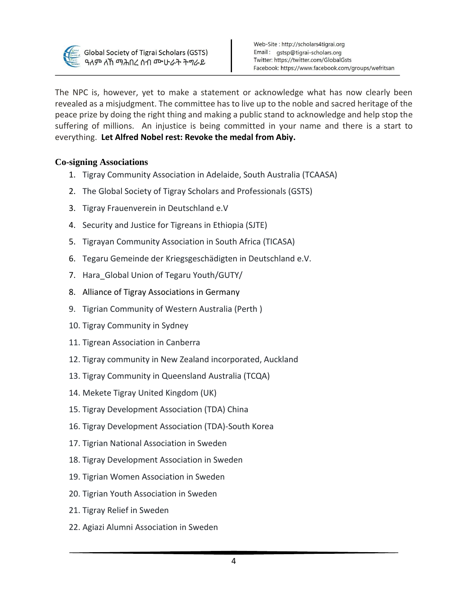

The NPC is, however, yet to make a statement or acknowledge what has now clearly been revealed as a misjudgment. The committee has to live up to the noble and sacred heritage of the peace prize by doing the right thing and making a public stand to acknowledge and help stop the suffering of millions. An injustice is being committed in your name and there is a start to everything. **Let Alfred Nobel rest: Revoke the medal from Abiy.** 

## **Co-signing Associations**

- 1. Tigray Community Association in Adelaide, South Australia (TCAASA)
- 2. The Global Society of Tigray Scholars and Professionals (GSTS)
- 3. Tigray Frauenverein in Deutschland e.V
- 4. Security and Justice for Tigreans in Ethiopia (SJTE)
- 5. Tigrayan Community Association in South Africa (TICASA)
- 6. Tegaru Gemeinde der Kriegsgeschädigten in Deutschland e.V.
- 7. Hara\_Global Union of Tegaru Youth/GUTY/
- 8. Alliance of Tigray Associations in Germany
- 9. Tigrian Community of Western Australia (Perth )
- 10. Tigray Community in Sydney
- 11. Tigrean Association in Canberra
- 12. Tigray community in New Zealand incorporated, Auckland
- 13. Tigray Community in Queensland Australia (TCQA)
- 14. Mekete Tigray United Kingdom (UK)
- 15. Tigray Development Association (TDA) China
- 16. Tigray Development Association (TDA)-South Korea
- 17. Tigrian National Association in Sweden
- 18. Tigray Development Association in Sweden
- 19. Tigrian Women Association in Sweden
- 20. Tigrian Youth Association in Sweden
- 21. Tigray Relief in Sweden
- 22. Agiazi Alumni Association in Sweden